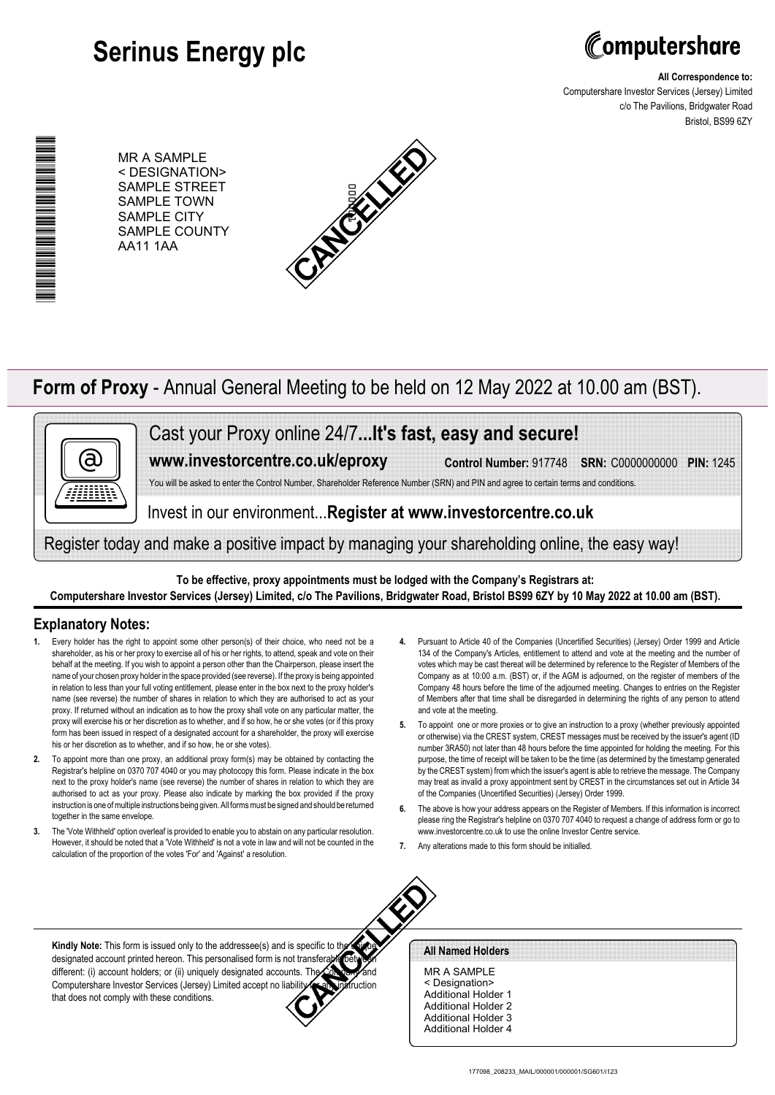# **Serinus Energy plc**



**All Correspondence to:**

Computershare Investor Services (Jersey) Limited c/o The Pavilions, Bridgwater Road Bristol, BS99 6ZY

MR A SAMPLE < DESIGNATION> SAMPLE STREET SAMPLE TOWN SAMPLE CITY SAMPLE COUNTY AA11 1AA



## **Form of Proxy** - Annual General Meeting to be held on 12 May 2022 at 10.00 am (BST).



\*00000101010070\*

▆▅▆▅▅▅▅▅▅▅▅▅▅▅▅▅

Cast your Proxy online 24/7**...It's fast, easy and secure!**

**www.investorcentre.co.uk/eproxy**

**Control Number:** 917748 **SRN:** C0000000000 **PIN:** 1245

You will be asked to enter the Control Number, Shareholder Reference Number (SRN) and PIN and agree to certain terms and conditions

Invest in our environment...**Register at www.investorcentre.co.uk**

Register today and make a positive impact by managing your shareholding online, the easy way!

**To be effective, proxy appointments must be lodged with the Company's Registrars at: Computershare Investor Services (Jersey) Limited, c/o The Pavilions, Bridgwater Road, Bristol BS99 6ZY by 10 May 2022 at 10.00 am (BST).**

### **Explanatory Notes:**

- Every holder has the right to appoint some other person(s) of their choice, who need not be a shareholder, as his or her proxy to exercise all of his or her rights, to attend, speak and vote on their behalf at the meeting. If you wish to appoint a person other than the Chairperson, please insert the name of your chosen proxy holder in the space provided (see reverse). If the proxy is being appointed in relation to less than your full voting entitlement, please enter in the box next to the proxy holder's name (see reverse) the number of shares in relation to which they are authorised to act as your proxy. If returned without an indication as to how the proxy shall vote on any particular matter, the proxy will exercise his or her discretion as to whether, and if so how, he or she votes (or if this proxy form has been issued in respect of a designated account for a shareholder, the proxy will exercise his or her discretion as to whether, and if so how, he or she votes).
- **2.** To appoint more than one proxy, an additional proxy form(s) may be obtained by contacting the Registrar's helpline on 0370 707 4040 or you may photocopy this form. Please indicate in the box next to the proxy holder's name (see reverse) the number of shares in relation to which they are authorised to act as your proxy. Please also indicate by marking the box provided if the proxy instruction is one of multiple instructions being given. All forms must be signed and should be returned together in the same envelope.
- **3.** The 'Vote Withheld' option overleaf is provided to enable you to abstain on any particular resolution. However, it should be noted that a 'Vote Withheld' is not a vote in law and will not be counted in the calculation of the proportion of the votes 'For' and 'Against' a resolution.
- **4.** Pursuant to Article 40 of the Companies (Uncertified Securities) (Jersey) Order 1999 and Article 134 of the Company's Articles, entitlement to attend and vote at the meeting and the number of votes which may be cast thereat will be determined by reference to the Register of Members of the Company as at 10:00 a.m. (BST) or, if the AGM is adjourned, on the register of members of the Company 48 hours before the time of the adjourned meeting. Changes to entries on the Register of Members after that time shall be disregarded in determining the rights of any person to attend and vote at the meeting.
- **5.** To appoint one or more proxies or to give an instruction to a proxy (whether previously appointed or otherwise) via the CREST system, CREST messages must be received by the issuer's agent (ID number 3RA50) not later than 48 hours before the time appointed for holding the meeting. For this purpose, the time of receipt will be taken to be the time (as determined by the timestamp generated by the CREST system) from which the issuer's agent is able to retrieve the message. The Company may treat as invalid a proxy appointment sent by CREST in the circumstances set out in Article 34 of the Companies (Uncertified Securities) (Jersey) Order 1999.
- **6.** The above is how your address appears on the Register of Members. If this information is incorrect please ring the Registrar's helpline on 0370 707 4040 to request a change of address form or go to www.investorcentre.co.uk to use the online Investor Centre service.
- **7.** Any alterations made to this form should be initialled.



#### **All Named Holders**

MR A SAMPLE < Designation> Additional Holder 1 Additional Holder 2 Additional Holder 3 Additional Holder 4

**Kindly Note:** This form is issued only to the addressee(s) and is specific to the designated account printed hereon. This personalised form is not transferable between different: (i) account holders; or (ii) uniquely designated accounts. The Computershare Investor Services (Jersey) Limited accept no liability for any instruction that does not comply with these conditions.